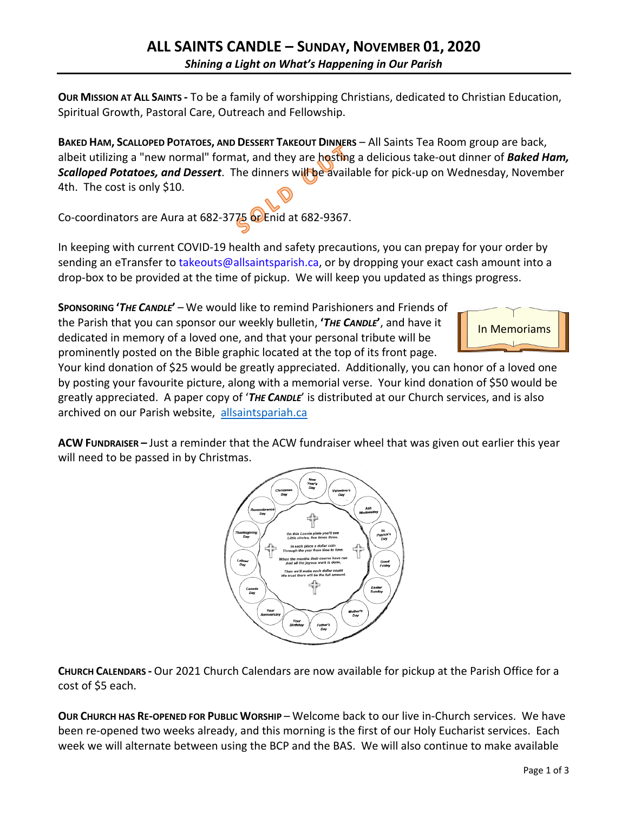**OUR MISSION AT ALL SAINTS -** To be a family of worshipping Christians, dedicated to Christian Education, Spiritual Growth, Pastoral Care, Outreach and Fellowship.

**BAKED HAM, SCALLOPED POTATOES, AND DESSERT TAKEOUT DINNERS** – All Saints Tea Room group are back, albeit utilizing a "new normal" format, and they are hosting a delicious take-out dinner of *Baked Ham,*  **Scalloped Potatoes, and Dessert**. The dinners will be available for pick-up on Wednesday, November 4th. The cost is only \$10.

Co-coordinators are Aura at 682-3775 or Enid at 682-9367.

In keeping with current COVID-19 health and safety precautions, you can prepay for your order by sending an eTransfer to takeouts@allsaintsparish.ca, or by dropping your exact cash amount into a drop-box to be provided at the time of pickup. We will keep you updated as things progress.

**SPONSORING '***THE CANDLE***'** – We would like to remind Parishioners and Friends of the Parish that you can sponsor our weekly bulletin, **'***THE CANDLE***'**, and have it dedicated in memory of a loved one, and that your personal tribute will be prominently posted on the Bible graphic located at the top of its front page.



Your kind donation of \$25 would be greatly appreciated. Additionally, you can honor of a loved one by posting your favourite picture, along with a memorial verse. Your kind donation of \$50 would be greatly appreciated. A paper copy of '*THE CANDLE*' is distributed at our Church services, and is also archived on our Parish website, allsaintspariah.ca

**ACW FUNDRAISER –** Just a reminder that the ACW fundraiser wheel that was given out earlier this year will need to be passed in by Christmas.



**CHURCH CALENDARS -** Our 2021 Church Calendars are now available for pickup at the Parish Office for a cost of \$5 each.

**OUR CHURCH HAS RE-OPENED FOR PUBLIC WORSHIP** – Welcome back to our live in-Church services. We have been re-opened two weeks already, and this morning is the first of our Holy Eucharist services. Each week we will alternate between using the BCP and the BAS. We will also continue to make available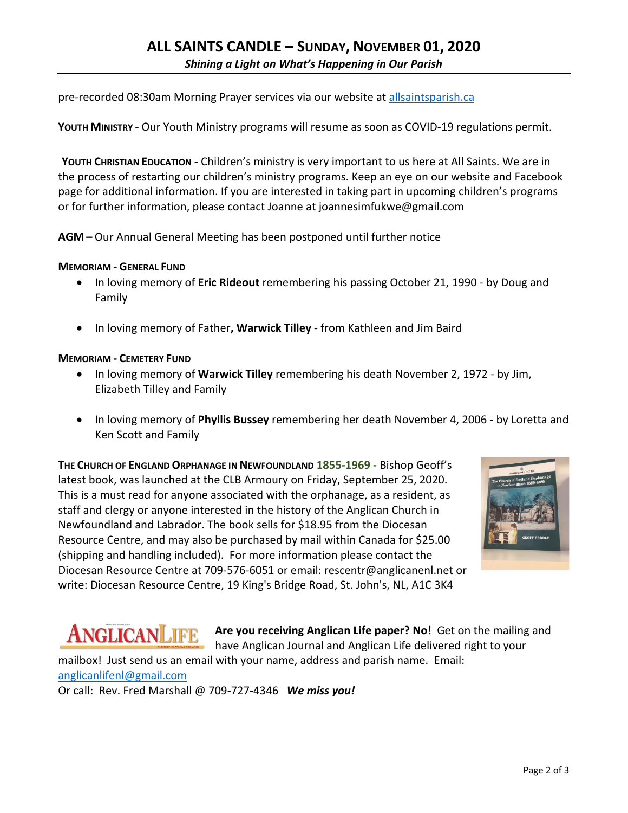pre-recorded 08:30am Morning Prayer services via our website at allsaintsparish.ca

**YOUTH MINISTRY -** Our Youth Ministry programs will resume as soon as COVID-19 regulations permit.

**YOUTH CHRISTIAN EDUCATION** - Children's ministry is very important to us here at All Saints. We are in the process of restarting our children's ministry programs. Keep an eye on our website and Facebook page for additional information. If you are interested in taking part in upcoming children's programs or for further information, please contact Joanne at joannesimfukwe@gmail.com

**AGM –** Our Annual General Meeting has been postponed until further notice

# **MEMORIAM - GENERAL FUND**

- In loving memory of **Eric Rideout** remembering his passing October 21, 1990 by Doug and Family
- In loving memory of Father**, Warwick Tilley** from Kathleen and Jim Baird

# **MEMORIAM - CEMETERY FUND**

- In loving memory of **Warwick Tilley** remembering his death November 2, 1972 by Jim, Elizabeth Tilley and Family
- In loving memory of **Phyllis Bussey** remembering her death November 4, 2006 by Loretta and Ken Scott and Family

**THE CHURCH OF ENGLAND ORPHANAGE IN NEWFOUNDLAND 1855-1969 -** Bishop Geoff's latest book, was launched at the CLB Armoury on Friday, September 25, 2020. This is a must read for anyone associated with the orphanage, as a resident, as staff and clergy or anyone interested in the history of the Anglican Church in Newfoundland and Labrador. The book sells for \$18.95 from the Diocesan Resource Centre, and may also be purchased by mail within Canada for \$25.00 (shipping and handling included). For more information please contact the Diocesan Resource Centre at 709-576-6051 or email: rescentr@anglicanenl.net or write: Diocesan Resource Centre, 19 King's Bridge Road, St. John's, NL, A1C 3K4



ANGLICANLIFE **Are you receiving Anglican Life paper? No!** Get on the mailing and have Anglican Journal and Anglican Life delivered right to your

mailbox! Just send us an email with your name, address and parish name. Email: anglicanlifenl@gmail.com Or call: Rev. Fred Marshall @ 709-727-4346 *We miss you!*